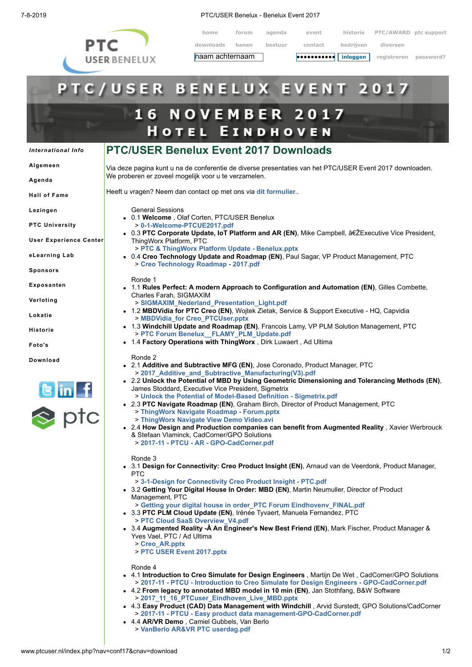

7-8-2019 PTC/USER Benelux - Benelux Event 2017

**home forum agenda event historie PTC/AWARD ptc support downloads banen bestuur contact bedrijven diversen** naam achternaam **inloggen registreren password?**

**•••••••••••**

| inloggen<br>۰d | registreren | password? |
|----------------|-------------|-----------|
|                |             |           |
|                |             |           |
|                |             |           |

## **TC/USER BENELUX EV** EN **16 NOVEMBER 2017 HOTEL EINDHOVEN PTC/USER Benelux Event 2017 Downloads** *[International](http://www.ptcuser.nl/index.php?nav=conf17&cnav=international) Info* **[Algemeen](http://www.ptcuser.nl/index.php?nav=conf17&cnav=algemeen)** Via deze pagina kunt u na de conferentie de diverse presentaties van het PTC/USER Event 2017 downloaden. We proberen er zoveel mogelijk voor u te verzamelen. **[Agenda](http://www.ptcuser.nl/index.php?nav=conf17&cnav=agenda)** Heeft u vragen? Neem dan contact op met ons via **[dit formulier.](http://www.ptcuser.nl/mform.php?hdid=Informatie%A0aanvraag%A0over%A0de%A0downloads%A0van%A0het%A0Event%A02017&thid=m&nmid=info&sbid=Event%A02017%A0Download%A0info&yqid=Vraag%A0over%A0Event%A02017%A0Download)**. **Hall of [Fame](http://www.ptcuser.nl/index.php?nav=conf17&cnav=halloffame) [Lezingen](http://www.ptcuser.nl/index.php?nav=conf17&cnav=lezingen)** General Sessions 0.1 **Welcome** , Olaf Corten, PTC/USER Benelux > **[0-1-Welcome-PTCUE2017.pdf](http://www.ptcuser.nl/conf_17/presentations/0-1-Welcome%20-%20PTCUSER%20Benelux/0-1-Welcome-PTCUE2017.pdf) PTC [University](http://www.ptcuser.nl/index.php?nav=conf17&cnav=how)** • 0.3 PTC Corporate Update, IoT Platform and AR (EN), Mike Campbell, ‎Executive Vice President, **User [Experience](http://www.ptcuser.nl/index.php?nav=conf17&cnav=uxlab) Center** ThingWorx Platform, PTC > **[PTC & ThingWorx Platform Update - Benelux.pptx](https://www.dropbox.com/sh/8yng0mllzz9syjw/AACMCGdnfv6XrfTm4WuG4mOaa?dl=0) [eLearning](http://www.ptcuser.nl/index.php?nav=conf17&cnav=elearninglab) Lab** 0.4 **Creo Technology Update and Roadmap (EN)**, Paul Sagar, VP Product Management, PTC > **[Creo Technology Roadmap - 2017.pdf](http://www.ptcuser.nl/conf_17/presentations/0-4-Creo%20Technology%20Update%20and%20Roadmap%20-%20PTC/Creo%20Technology%20Roadmap%20-%202017.pdf) [Sponsors](http://www.ptcuser.nl/index.php?nav=conf17&cnav=sponsors)** Ronde 1 **[Exposanten](http://www.ptcuser.nl/index.php?nav=conf17&cnav=exposanten)** 1.1 **Rules Perfect: A modern Approach to Configuration and Automation (EN)**, Gilles Combette, Charles Farah, SIGMAXIM **[Verloting](http://www.ptcuser.nl/index.php?nav=conf17&cnav=verloting)** > **[SIGMAXIM\\_Nederland\\_Presentation\\_Light.pdf](http://www.ptcuser.nl/conf_17/presentations/1-1-Rules%20Perfect,%20A%20modern%20Approach%20to%20Configuration%20and%20Automation%20%20-%20SIGMAXIM/SIGMAXIM_Nederland_Presentation_Light.pdf)** 1.2 **MBDVidia for PTC Creo (EN)**, Wojtek Zietak, Service & Support Executive - HQ, Capvidia **[Lokatie](http://www.ptcuser.nl/index.php?nav=conf17&cnav=lokatie)** > **[MBDVidia\\_for Creo\\_PTCUser.pptx](http://www.ptcuser.nl/conf_17/presentations/1-2-MBDVidia%20for%20PTC%20Creo%20-%20Capvidia/MBDVidia_for%20Creo_PTCUser.pptx)** 1.3 **Windchill Update and Roadmap (EN)**, Francois Lamy, VP PLM Solution Management, PTC **[Historie](http://www.ptcuser.nl/index.php?nav=conf17&cnav=historie)** > **[PTC Forum Benelux\\_\\_FLAMY\\_PLM\\_Update.pdf](http://www.ptcuser.nl/conf_17/presentations/1-3-Windchill%20Update%20and%20Roadmap%20-%20PTC/PTC%20Forum%20Benelux__FLAMY_PLM_Update.pdf)** 1.4 **Factory Operations with ThingWorx** , Dirk Luwaert , Ad Ultima **[Foto's](http://www.ptcuser.nl/index.php?nav=conf17&cnav=fotos)** Ronde 2 **[Download](http://www.ptcuser.nl/index.php?nav=conf17&cnav=download)** 2.1 **Additive and Subtractive MFG (EN)**, Jose Coronado, Product Manager, PTC > **[2017\\_Additive\\_and\\_Subtractive\\_Manufacturing\(V3\).pdf](http://www.ptcuser.nl/conf_17/presentations/2-1-Additive%20and%20Subtractive%20MFG%20-%20PTC/2017_Additive_and_Subtractive_Manufacturing(V3).pdf)** 2.2 **Unlock the Potential of MBD by Using Geometric Dimensioning and Tolerancing Methods (EN)**, James Stoddard, Executive Vice President, Sigmetrix > **[Unlock the Potential of Model-Based Definition - Sigmetrix.pdf](http://www.ptcuser.nl/conf_17/presentations/2-2-Unlock%20the%20Potential%20of%20MBD%20by%20...%20-%20Sigmetrix/Unlock%20the%20Potential%20of%20Model-Based%20Definition%20-%20Sigmetrix.pdf)** 2.3 **PTC Navigate Roadmap (EN)**, Graham Birch, Director of Product Management, PTC l ptc > **[ThingWorx Navigate Roadmap - Forum.pptx](http://www.ptcuser.nl/conf_17/presentations/2-3-PTC%20Navigate%20Roadmap%20-%20PTC/ThingWorx%20Navigate%20Roadmap%20-%20Forum.pptx)** > **[ThingWorx Navigate View Demo Video.avi](http://www.ptcuser.nl/conf_17/presentations/2-3-PTC%20Navigate%20Roadmap%20-%20PTC/ThingWorx%20Navigate%20View%20Demo%20Video.avi)** 2.4 **How Design and Production companies can benefit from Augmented Reality** , Xavier Werbrouck & Stefaan Vlaminck, CadCorner/GPO Solutions > **[2017-11 - PTCU - AR - GPO-CadCorner.pdf](http://www.ptcuser.nl/conf_17/presentations/2-4-How%20Design%20and%20Production%20companies%20can%20benefit%20from%20AR%20-%20CadCornerGPO%20Solutions/2017-11%20-%20PTCU%20-%20AR%20-%20GPO-CadCorner.pdf)** Ronde 3 3.1 **Design for Connectivity: Creo Product Insight (EN)**, Arnaud van de Veerdonk, Product Manager, PTC > **[3-1-Design for Connectivity Creo Product Insight - PTC.pdf](http://www.ptcuser.nl/conf_17/presentations/3-1-Design%20for%20Connectivity%20Creo%20Product%20Insight%20-%20PTC/3-1-Design%20for%20Connectivity%20Creo%20Product%20Insight%20-%20PTC.pdf)** 3.2 **Getting Your Digital House In Order: MBD (EN)**, Martin Neumuller, Director of Product Management, PTC > **[Getting your digital house in order\\_PTC Forum Eindhovenv\\_FINAL.pdf](http://www.ptcuser.nl/conf_17/presentations/3-2-Getting%20Your%20Digital%20House%20In%20Order,%20MBD%20-%20PTC/Getting%20your%20digital%20house%20in%20order_PTC%20Forum%20Eindhovenv_FINAL.pdf)** 3.3 **PTC PLM Cloud Update (EN)**, Irénée Tyvaert, Manuela Fernandez, PTC > **[PTC Cloud SaaS Overview\\_V4.pdf](http://www.ptcuser.nl/conf_17/presentations/3-3-PTC%20PLM%20Cloud%20Update%20-%20PTC/PTC%20Cloud%20SaaS%20Overview_V4.pdf)** 3.4 **Augmented Reality -Â An Engineer's New Best Friend (EN)**, Mark Fischer, Product Manager & Yves Vael, PTC / Ad Ultima > **[Creo\\_AR.pptx](https://www.dropbox.com/sh/8yng0mllzz9syjw/AACMCGdnfv6XrfTm4WuG4mOaa?dl=0)** > **[PTC USER Event 2017.pptx](http://www.ptcuser.nl/conf_17/presentations/3-4-Augmented%20Reality%20-%20An%20Engineers%20New%20Best%20Friend%20-%20PTC%20%20Ad%20Ultima/PTC%20USER%20Event%20%202017.pptx)** Ronde 4 4.1 **Introduction to Creo Simulate for Design Engineers** , Martijn De Wet , CadCorner/GPO Solutions > **[2017-11 - PTCU - Introduction to Creo Simulate for Design Engineers - GPO-CadCorner.pdf](http://www.ptcuser.nl/conf_17/presentations/4-1-Introduction%20to%20Creo%20Simulate%20for%20Design%20Engineers%20-%20CadCornerGPO%20Solutions/2017-11%20-%20PTCU%20-%20Introduction%20to%20Creo%20Simulate%20for%20Design%20Engineers%20-%20GPO-CadCorner.pdf)** 4.2 **From legacy to annotated MBD model in 10 min (EN)**, Jan Stothfang, B&W Software > **[2017\\_11\\_16\\_PTCuser\\_Eindhoven\\_Live\\_MBD.pptx](http://www.ptcuser.nl/conf_17/presentations/4-2-From%20legacy%20to%20annotated%20MBD%20model%20in%2010%20min%20-%20BandW%20Software/2017_11_16_PTCuser_Eindhoven_Live_MBD.pptx)** 4.3 **Easy Product (CAD) Data Management with Windchill** , Arvid Surstedt, GPO Solutions/CadCorner > **[2017-11 - PTCU - Easy product data management-GPO-CadCorner.pdf](http://www.ptcuser.nl/conf_17/presentations/4-3-Easy%20Product%20(CAD)%20Data%20Management%20with%20Windchill%20%20-%20GPO%20SolutionsCadCorner/2017-11%20-%20PTCU%20-%20Easy%20product%20data%20management-GPO-CadCorner.pdf)**

4.4 **AR/VR Demo** , Camiel Gubbels, Van Berlo > **[VanBerlo AR&VR PTC userdag.pdf](http://www.ptcuser.nl/conf_17/presentations/4-4-ARVR%20Demo%20-%20Van%20Berlo/VanBerlo%20AR&VR%20PTC%20userdag.pdf)**